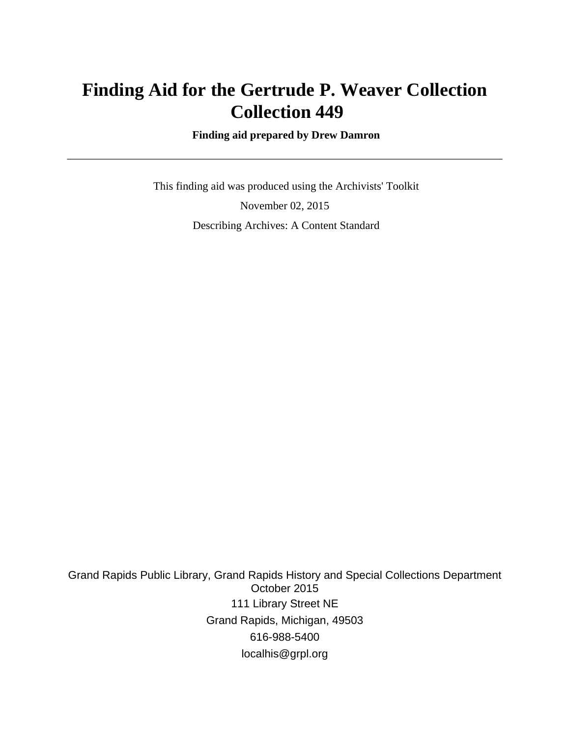# **Finding Aid for the Gertrude P. Weaver Collection Collection 449**

 **Finding aid prepared by Drew Damron**

 This finding aid was produced using the Archivists' Toolkit November 02, 2015 Describing Archives: A Content Standard

Grand Rapids Public Library, Grand Rapids History and Special Collections Department October 2015 111 Library Street NE Grand Rapids, Michigan, 49503 616-988-5400 localhis@grpl.org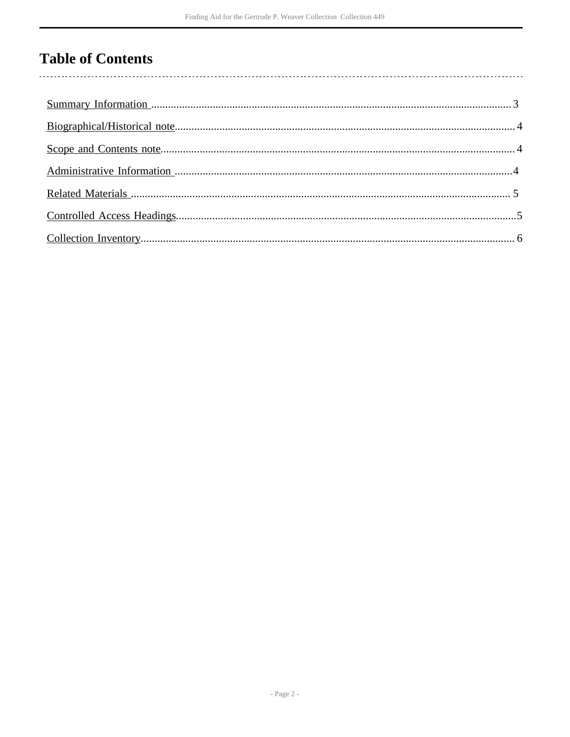## **Table of Contents**

 $\overline{\phantom{a}}$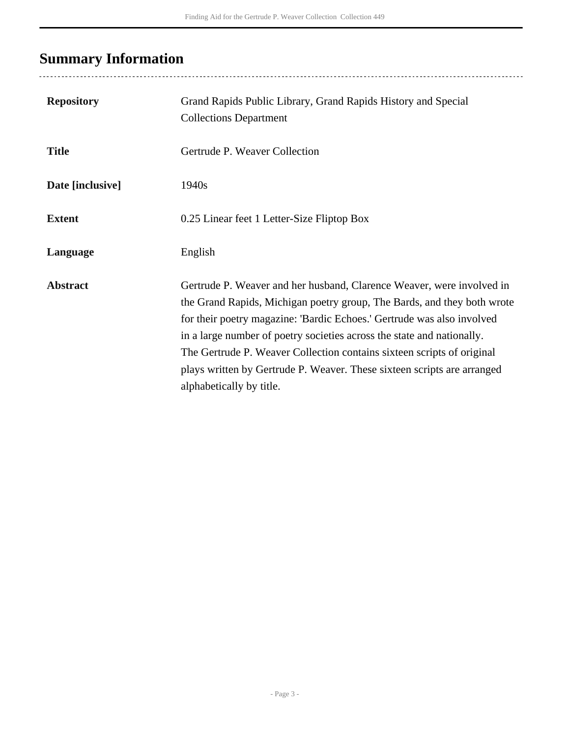# <span id="page-2-0"></span>**Summary Information**

| <b>Repository</b> | Grand Rapids Public Library, Grand Rapids History and Special<br><b>Collections Department</b>                                                                                                                                                                                                                                                                                                                                                                                        |
|-------------------|---------------------------------------------------------------------------------------------------------------------------------------------------------------------------------------------------------------------------------------------------------------------------------------------------------------------------------------------------------------------------------------------------------------------------------------------------------------------------------------|
| <b>Title</b>      | Gertrude P. Weaver Collection                                                                                                                                                                                                                                                                                                                                                                                                                                                         |
| Date [inclusive]  | 1940s                                                                                                                                                                                                                                                                                                                                                                                                                                                                                 |
| <b>Extent</b>     | 0.25 Linear feet 1 Letter-Size Fliptop Box                                                                                                                                                                                                                                                                                                                                                                                                                                            |
| Language          | English                                                                                                                                                                                                                                                                                                                                                                                                                                                                               |
| <b>Abstract</b>   | Gertrude P. Weaver and her husband, Clarence Weaver, were involved in<br>the Grand Rapids, Michigan poetry group, The Bards, and they both wrote<br>for their poetry magazine: 'Bardic Echoes.' Gertrude was also involved<br>in a large number of poetry societies across the state and nationally.<br>The Gertrude P. Weaver Collection contains sixteen scripts of original<br>plays written by Gertrude P. Weaver. These sixteen scripts are arranged<br>alphabetically by title. |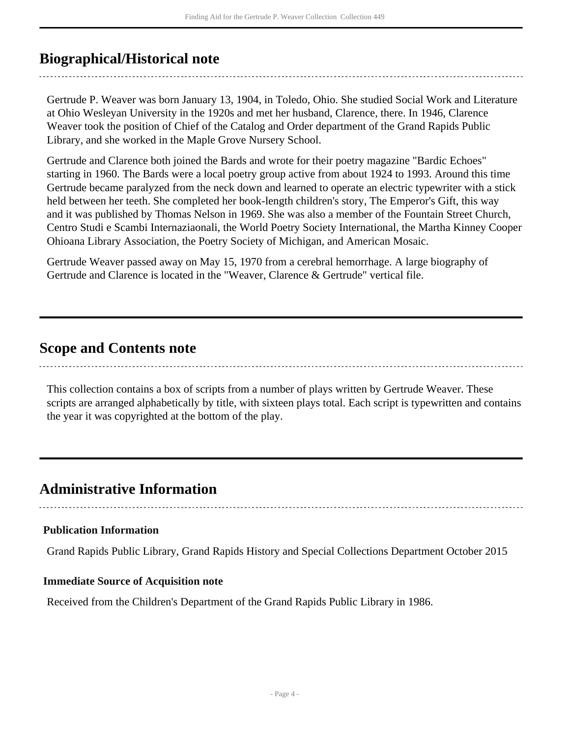### <span id="page-3-0"></span>**Biographical/Historical note**

Gertrude P. Weaver was born January 13, 1904, in Toledo, Ohio. She studied Social Work and Literature at Ohio Wesleyan University in the 1920s and met her husband, Clarence, there. In 1946, Clarence Weaver took the position of Chief of the Catalog and Order department of the Grand Rapids Public Library, and she worked in the Maple Grove Nursery School.

Gertrude and Clarence both joined the Bards and wrote for their poetry magazine "Bardic Echoes" starting in 1960. The Bards were a local poetry group active from about 1924 to 1993. Around this time Gertrude became paralyzed from the neck down and learned to operate an electric typewriter with a stick held between her teeth. She completed her book-length children's story, The Emperor's Gift, this way and it was published by Thomas Nelson in 1969. She was also a member of the Fountain Street Church, Centro Studi e Scambi Internaziaonali, the World Poetry Society International, the Martha Kinney Cooper Ohioana Library Association, the Poetry Society of Michigan, and American Mosaic.

Gertrude Weaver passed away on May 15, 1970 from a cerebral hemorrhage. A large biography of Gertrude and Clarence is located in the "Weaver, Clarence & Gertrude" vertical file.

### <span id="page-3-1"></span>**Scope and Contents note**

This collection contains a box of scripts from a number of plays written by Gertrude Weaver. These scripts are arranged alphabetically by title, with sixteen plays total. Each script is typewritten and contains the year it was copyrighted at the bottom of the play.

## <span id="page-3-2"></span>**Administrative Information**

#### **Publication Information**

Grand Rapids Public Library, Grand Rapids History and Special Collections Department October 2015

#### **Immediate Source of Acquisition note**

Received from the Children's Department of the Grand Rapids Public Library in 1986.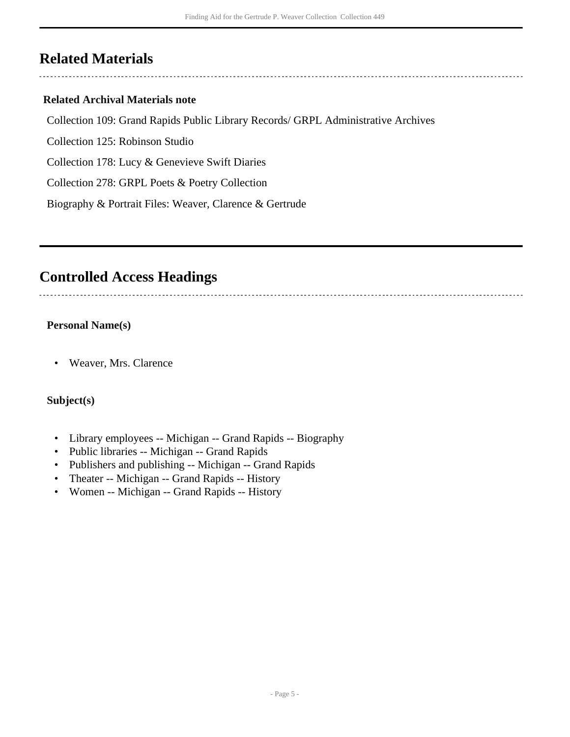## <span id="page-4-0"></span>**Related Materials**

#### **Related Archival Materials note**

Collection 109: Grand Rapids Public Library Records/ GRPL Administrative Archives

Collection 125: Robinson Studio

Collection 178: Lucy & Genevieve Swift Diaries

Collection 278: GRPL Poets & Poetry Collection

Biography & Portrait Files: Weaver, Clarence & Gertrude

### <span id="page-4-1"></span>**Controlled Access Headings**

#### **Personal Name(s)**

• Weaver, Mrs. Clarence

#### **Subject(s)**

- Library employees -- Michigan -- Grand Rapids -- Biography
- Public libraries -- Michigan -- Grand Rapids
- Publishers and publishing -- Michigan -- Grand Rapids
- Theater -- Michigan -- Grand Rapids -- History
- Women -- Michigan -- Grand Rapids -- History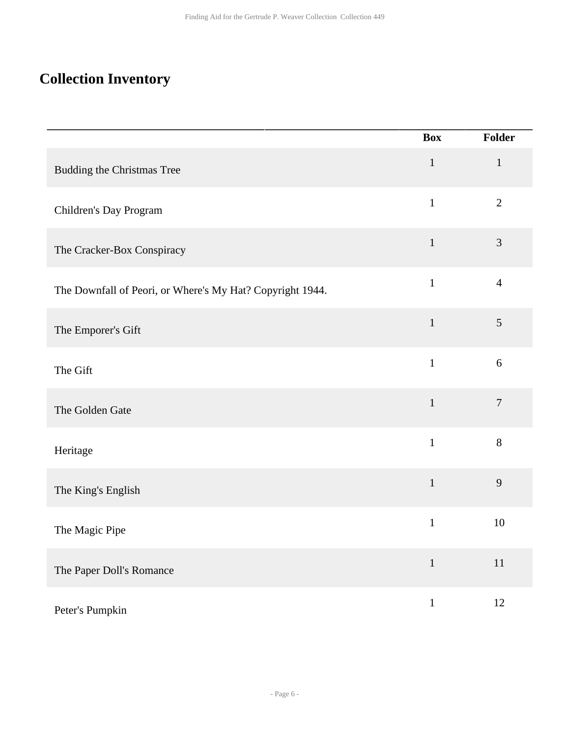## <span id="page-5-0"></span>**Collection Inventory**

|                                                           | <b>Box</b>   | Folder         |
|-----------------------------------------------------------|--------------|----------------|
| <b>Budding the Christmas Tree</b>                         | $1\,$        | $\mathbf{1}$   |
| Children's Day Program                                    | $\mathbf{1}$ | $\overline{2}$ |
| The Cracker-Box Conspiracy                                | $\mathbf{1}$ | $\mathfrak{Z}$ |
| The Downfall of Peori, or Where's My Hat? Copyright 1944. | $\mathbf{1}$ | $\overline{4}$ |
| The Emporer's Gift                                        | $\mathbf{1}$ | $\mathfrak{S}$ |
| The Gift                                                  | $\mathbf{1}$ | $6\,$          |
| The Golden Gate                                           | $\mathbf{1}$ | $\tau$         |
| Heritage                                                  | $\mathbf{1}$ | $8\,$          |
| The King's English                                        | $\mathbf 1$  | $\overline{9}$ |
| The Magic Pipe                                            | $\mathbf{1}$ | 10             |
| The Paper Doll's Romance                                  | $\mathbf{1}$ | $11\,$         |
| Peter's Pumpkin                                           | $\mathbf 1$  | 12             |